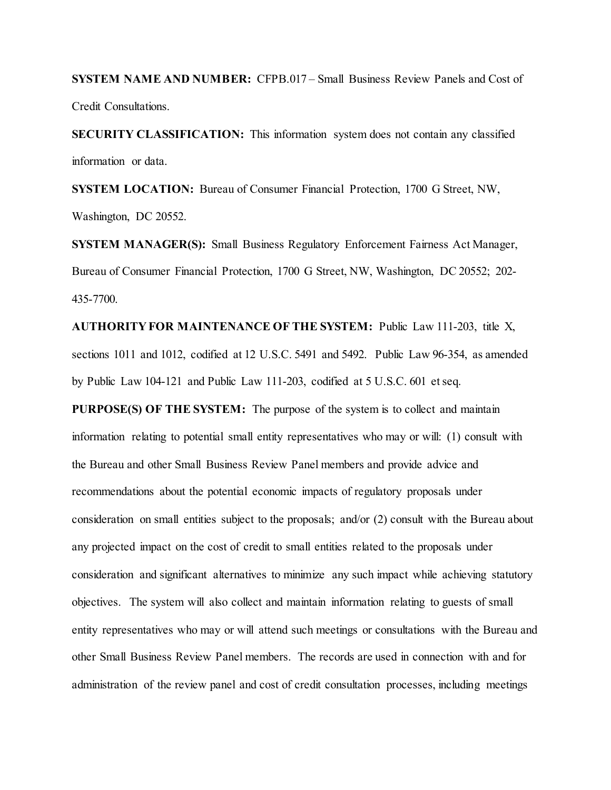**SYSTEM NAME AND NUMBER:** CFPB.017 – Small Business Review Panels and Cost of Credit Consultations.

**SECURITY CLASSIFICATION:** This information system does not contain any classified information or data.

**SYSTEM LOCATION:** Bureau of Consumer Financial Protection, 1700 G Street, NW, Washington, DC 20552.

**SYSTEM MANAGER(S):** Small Business Regulatory Enforcement Fairness Act Manager, Bureau of Consumer Financial Protection, 1700 G Street, NW, Washington, DC 20552; 202- 435-7700.

**AUTHORITY FOR MAINTENANCE OF THE SYSTEM:** Public Law 111-203, title X, sections 1011 and 1012, codified at 12 U.S.C. 5491 and 5492. Public Law 96-354, as amended by Public Law 104-121 and Public Law 111-203, codified at 5 U.S.C. 601 et seq.

**PURPOSE(S) OF THE SYSTEM:** The purpose of the system is to collect and maintain information relating to potential small entity representatives who may or will: (1) consult with the Bureau and other Small Business Review Panel members and provide advice and recommendations about the potential economic impacts of regulatory proposals under consideration on small entities subject to the proposals; and/or (2) consult with the Bureau about any projected impact on the cost of credit to small entities related to the proposals under consideration and significant alternatives to minimize any such impact while achieving statutory objectives. The system will also collect and maintain information relating to guests of small entity representatives who may or will attend such meetings or consultations with the Bureau and other Small Business Review Panel members. The records are used in connection with and for administration of the review panel and cost of credit consultation processes, including meetings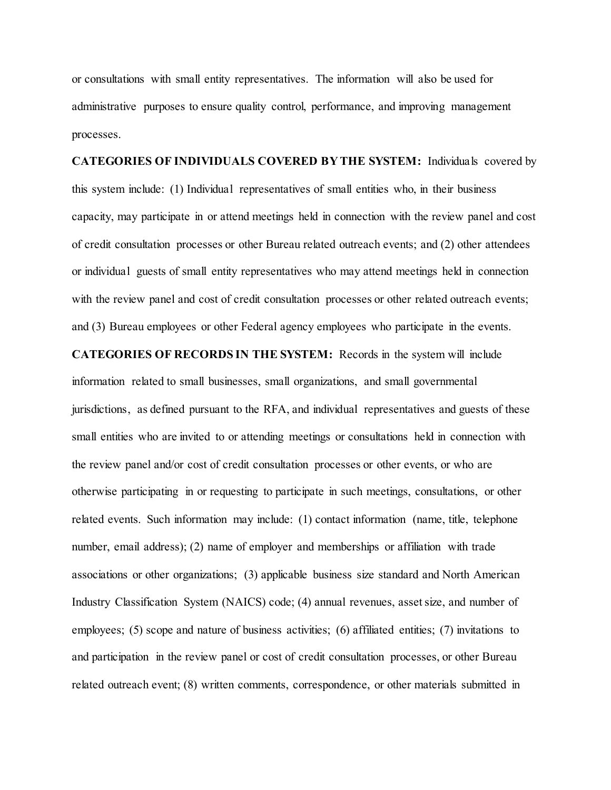or consultations with small entity representatives. The information will also be used for administrative purposes to ensure quality control, performance, and improving management processes.

**CATEGORIES OF INDIVIDUALS COVERED BY THE SYSTEM:** Individuals covered by this system include: (1) Individual representatives of small entities who, in their business capacity, may participate in or attend meetings held in connection with the review panel and cost of credit consultation processes or other Bureau related outreach events; and (2) other attendees or individual guests of small entity representatives who may attend meetings held in connection with the review panel and cost of credit consultation processes or other related outreach events; and (3) Bureau employees or other Federal agency employees who participate in the events.

**CATEGORIES OF RECORDS IN THE SYSTEM:** Records in the system will include

information related to small businesses, small organizations, and small governmental jurisdictions, as defined pursuant to the RFA, and individual representatives and guests of these small entities who are invited to or attending meetings or consultations held in connection with the review panel and/or cost of credit consultation processes or other events, or who are otherwise participating in or requesting to participate in such meetings, consultations, or other related events. Such information may include: (1) contact information (name, title, telephone number, email address); (2) name of employer and memberships or affiliation with trade associations or other organizations; (3) applicable business size standard and North American Industry Classification System (NAICS) code; (4) annual revenues, asset size, and number of employees; (5) scope and nature of business activities; (6) affiliated entities; (7) invitations to and participation in the review panel or cost of credit consultation processes, or other Bureau related outreach event; (8) written comments, correspondence, or other materials submitted in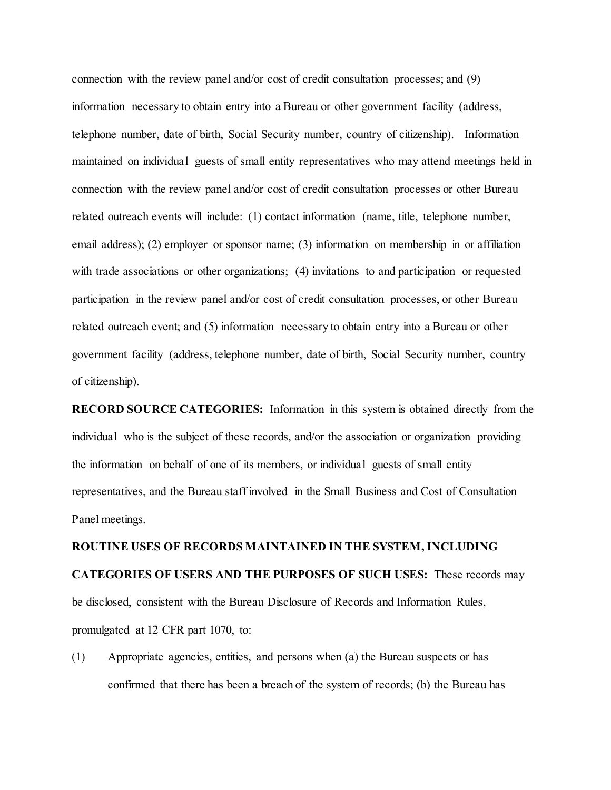connection with the review panel and/or cost of credit consultation processes; and (9) information necessary to obtain entry into a Bureau or other government facility (address, telephone number, date of birth, Social Security number, country of citizenship). Information maintained on individual guests of small entity representatives who may attend meetings held in connection with the review panel and/or cost of credit consultation processes or other Bureau related outreach events will include: (1) contact information (name, title, telephone number, email address); (2) employer or sponsor name; (3) information on membership in or affiliation with trade associations or other organizations; (4) invitations to and participation or requested participation in the review panel and/or cost of credit consultation processes, or other Bureau related outreach event; and (5) information necessary to obtain entry into a Bureau or other government facility (address, telephone number, date of birth, Social Security number, country of citizenship).

**RECORD SOURCE CATEGORIES:** Information in this system is obtained directly from the individual who is the subject of these records, and/or the association or organization providing the information on behalf of one of its members, or individual guests of small entity representatives, and the Bureau staff involved in the Small Business and Cost of Consultation Panel meetings.

# **ROUTINE USES OF RECORDS MAINTAINED IN THE SYSTEM, INCLUDING CATEGORIES OF USERS AND THE PURPOSES OF SUCH USES:** These records may be disclosed, consistent with the Bureau Disclosure of Records and Information Rules, promulgated at 12 CFR part 1070, to:

(1) Appropriate agencies, entities, and persons when (a) the Bureau suspects or has confirmed that there has been a breach of the system of records; (b) the Bureau has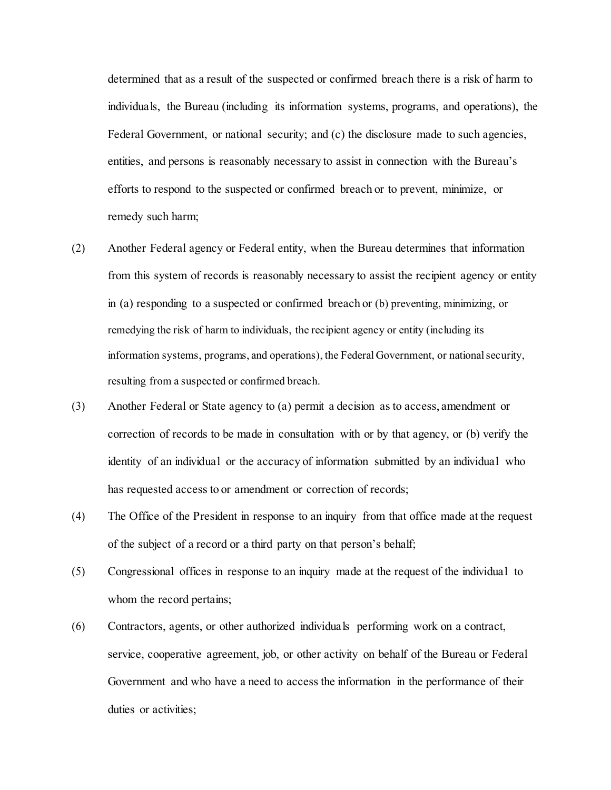determined that as a result of the suspected or confirmed breach there is a risk of harm to individuals, the Bureau (including its information systems, programs, and operations), the Federal Government, or national security; and (c) the disclosure made to such agencies, entities, and persons is reasonably necessary to assist in connection with the Bureau's efforts to respond to the suspected or confirmed breach or to prevent, minimize, or remedy such harm;

- (2) Another Federal agency or Federal entity, when the Bureau determines that information from this system of records is reasonably necessary to assist the recipient agency or entity in (a) responding to a suspected or confirmed breach or (b) preventing, minimizing, or remedying the risk of harm to individuals, the recipient agency or entity (including its information systems, programs, and operations), the Federal Government, or national security, resulting from a suspected or confirmed breach.
- (3) Another Federal or State agency to (a) permit a decision as to access, amendment or correction of records to be made in consultation with or by that agency, or (b) verify the identity of an individual or the accuracy of information submitted by an individual who has requested access to or amendment or correction of records;
- (4) The Office of the President in response to an inquiry from that office made at the request of the subject of a record or a third party on that person's behalf;
- (5) Congressional offices in response to an inquiry made at the request of the individual to whom the record pertains;
- (6) Contractors, agents, or other authorized individuals performing work on a contract, service, cooperative agreement, job, or other activity on behalf of the Bureau or Federal Government and who have a need to access the information in the performance of their duties or activities;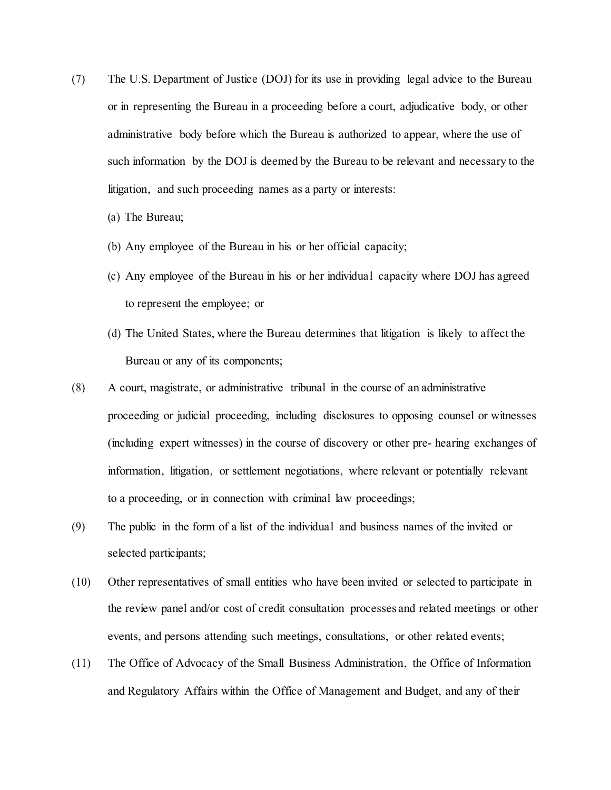- (7) The U.S. Department of Justice (DOJ) for its use in providing legal advice to the Bureau or in representing the Bureau in a proceeding before a court, adjudicative body, or other administrative body before which the Bureau is authorized to appear, where the use of such information by the DOJ is deemed by the Bureau to be relevant and necessary to the litigation, and such proceeding names as a party or interests:
	- (a) The Bureau;
	- (b) Any employee of the Bureau in his or her official capacity;
	- (c) Any employee of the Bureau in his or her individual capacity where DOJ has agreed to represent the employee; or
	- (d) The United States, where the Bureau determines that litigation is likely to affect the Bureau or any of its components;
- (8) A court, magistrate, or administrative tribunal in the course of an administrative proceeding or judicial proceeding, including disclosures to opposing counsel or witnesses (including expert witnesses) in the course of discovery or other pre- hearing exchanges of information, litigation, or settlement negotiations, where relevant or potentially relevant to a proceeding, or in connection with criminal law proceedings;
- (9) The public in the form of a list of the individual and business names of the invited or selected participants;
- (10) Other representatives of small entities who have been invited or selected to participate in the review panel and/or cost of credit consultation processes and related meetings or other events, and persons attending such meetings, consultations, or other related events;
- (11) The Office of Advocacy of the Small Business Administration, the Office of Information and Regulatory Affairs within the Office of Management and Budget, and any of their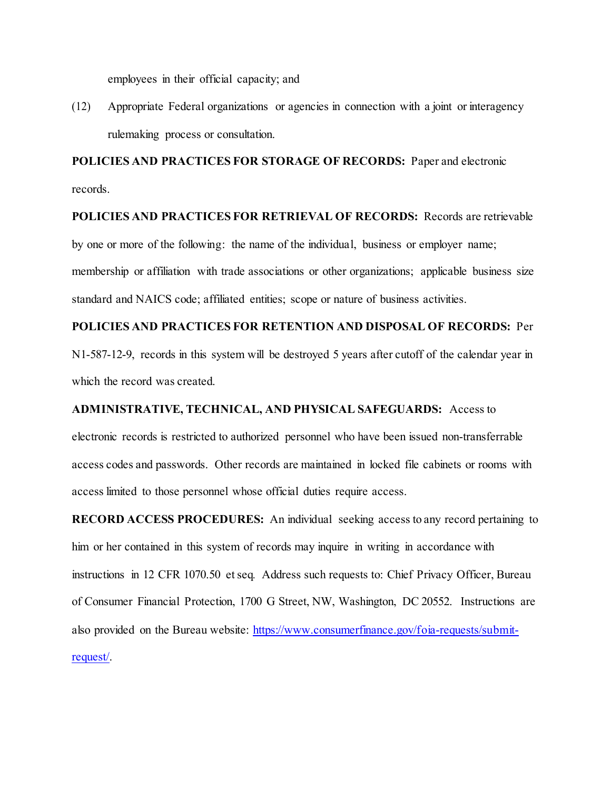employees in their official capacity; and

(12) Appropriate Federal organizations or agencies in connection with a joint or interagency rulemaking process or consultation.

**POLICIES AND PRACTICES FOR STORAGE OF RECORDS:** Paper and electronic records.

## **POLICIES AND PRACTICES FOR RETRIEVAL OF RECORDS:** Records are retrievable by one or more of the following: the name of the individual, business or employer name; membership or affiliation with trade associations or other organizations; applicable business size standard and NAICS code; affiliated entities; scope or nature of business activities.

## **POLICIES AND PRACTICES FOR RETENTION AND DISPOSAL OF RECORDS:** Per N1-587-12-9, records in this system will be destroyed 5 years after cutoff of the calendar year in which the record was created.

#### **ADMINISTRATIVE, TECHNICAL, AND PHYSICAL SAFEGUARDS:** Access to

electronic records is restricted to authorized personnel who have been issued non-transferrable access codes and passwords. Other records are maintained in locked file cabinets or rooms with access limited to those personnel whose official duties require access.

**RECORD ACCESS PROCEDURES:** An individual seeking access to any record pertaining to him or her contained in this system of records may inquire in writing in accordance with instructions in 12 CFR 1070.50 et seq*.* Address such requests to: Chief Privacy Officer, Bureau of Consumer Financial Protection, 1700 G Street, NW, Washington, DC 20552. Instructions are also provided on the Bureau website: [https://www.consumerfinance.gov/foia-requests/submit](https://www.consumerfinance.gov/foia-requests/submit-request/)[request/.](https://www.consumerfinance.gov/foia-requests/submit-request/)